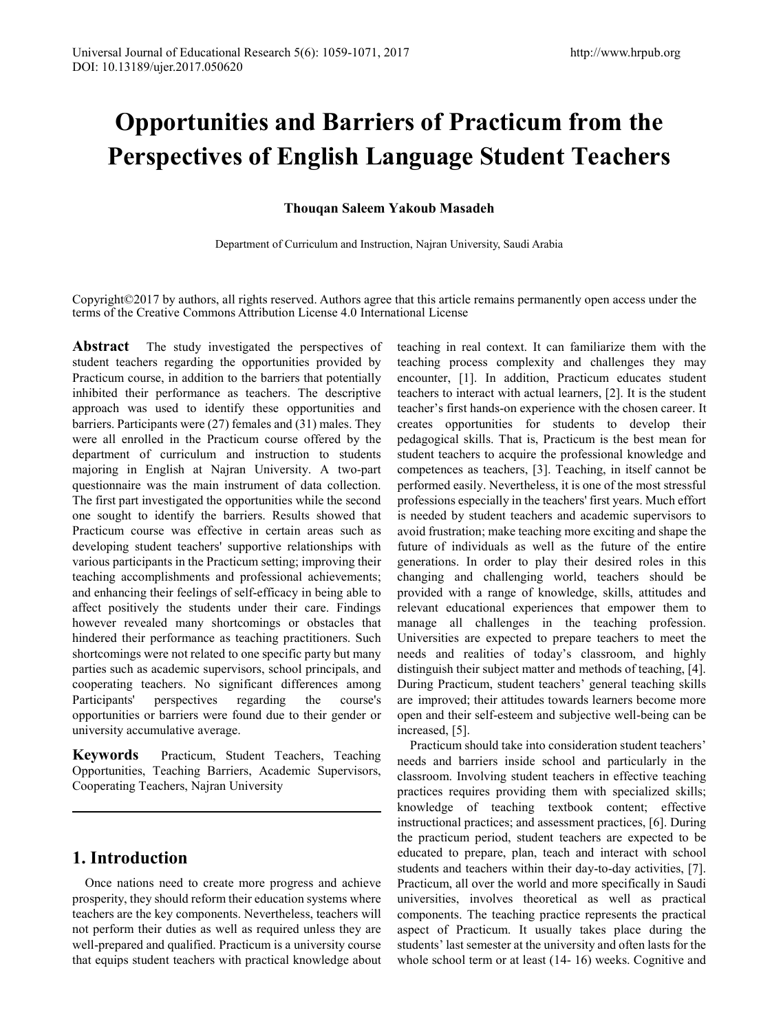# **Opportunities and Barriers of Practicum from the Perspectives of English Language Student Teachers**

### **Thouqan Saleem Yakoub Masadeh**

Department of Curriculum and Instruction, Najran University, Saudi Arabia

Copyright©2017 by authors, all rights reserved. Authors agree that this article remains permanently open access under the terms of the Creative Commons Attribution License 4.0 International License

**Abstract** The study investigated the perspectives of student teachers regarding the opportunities provided by Practicum course, in addition to the barriers that potentially inhibited their performance as teachers. The descriptive approach was used to identify these opportunities and barriers. Participants were (27) females and (31) males. They were all enrolled in the Practicum course offered by the department of curriculum and instruction to students majoring in English at Najran University. A two-part questionnaire was the main instrument of data collection. The first part investigated the opportunities while the second one sought to identify the barriers. Results showed that Practicum course was effective in certain areas such as developing student teachers' supportive relationships with various participants in the Practicum setting; improving their teaching accomplishments and professional achievements; and enhancing their feelings of self-efficacy in being able to affect positively the students under their care. Findings however revealed many shortcomings or obstacles that hindered their performance as teaching practitioners. Such shortcomings were not related to one specific party but many parties such as academic supervisors, school principals, and cooperating teachers. No significant differences among Participants' perspectives regarding the course's opportunities or barriers were found due to their gender or university accumulative average.

**Keywords** Practicum, Student Teachers, Teaching Opportunities, Teaching Barriers, Academic Supervisors, Cooperating Teachers, Najran University

### **1. Introduction**

Once nations need to create more progress and achieve prosperity, they should reform their education systems where teachers are the key components. Nevertheless, teachers will not perform their duties as well as required unless they are well-prepared and qualified. Practicum is a university course that equips student teachers with practical knowledge about

teaching in real context. It can familiarize them with the teaching process complexity and challenges they may encounter, [1]. In addition, Practicum educates student teachers to interact with actual learners, [2]. It is the student teacher's first hands-on experience with the chosen career. It creates opportunities for students to develop their pedagogical skills. That is, Practicum is the best mean for student teachers to acquire the professional knowledge and competences as teachers, [3]. Teaching, in itself cannot be performed easily. Nevertheless, it is one of the most stressful professions especially in the teachers' first years. Much effort is needed by student teachers and academic supervisors to avoid frustration; make teaching more exciting and shape the future of individuals as well as the future of the entire generations. In order to play their desired roles in this changing and challenging world, teachers should be provided with a range of knowledge, skills, attitudes and relevant educational experiences that empower them to manage all challenges in the teaching profession. Universities are expected to prepare teachers to meet the needs and realities of today's classroom, and highly distinguish their subject matter and methods of teaching, [4]. During Practicum, student teachers' general teaching skills are improved; their attitudes towards learners become more open and their self-esteem and subjective well-being can be increased, [5].

Practicum should take into consideration student teachers' needs and barriers inside school and particularly in the classroom. Involving student teachers in effective teaching practices requires providing them with specialized skills; knowledge of teaching textbook content; effective instructional practices; and assessment practices, [6]. During the practicum period, student teachers are expected to be educated to prepare, plan, teach and interact with school students and teachers within their day-to-day activities, [7]. Practicum, all over the world and more specifically in Saudi universities, involves theoretical as well as practical components. The teaching practice represents the practical aspect of Practicum. It usually takes place during the students' last semester at the university and often lasts for the whole school term or at least (14- 16) weeks. Cognitive and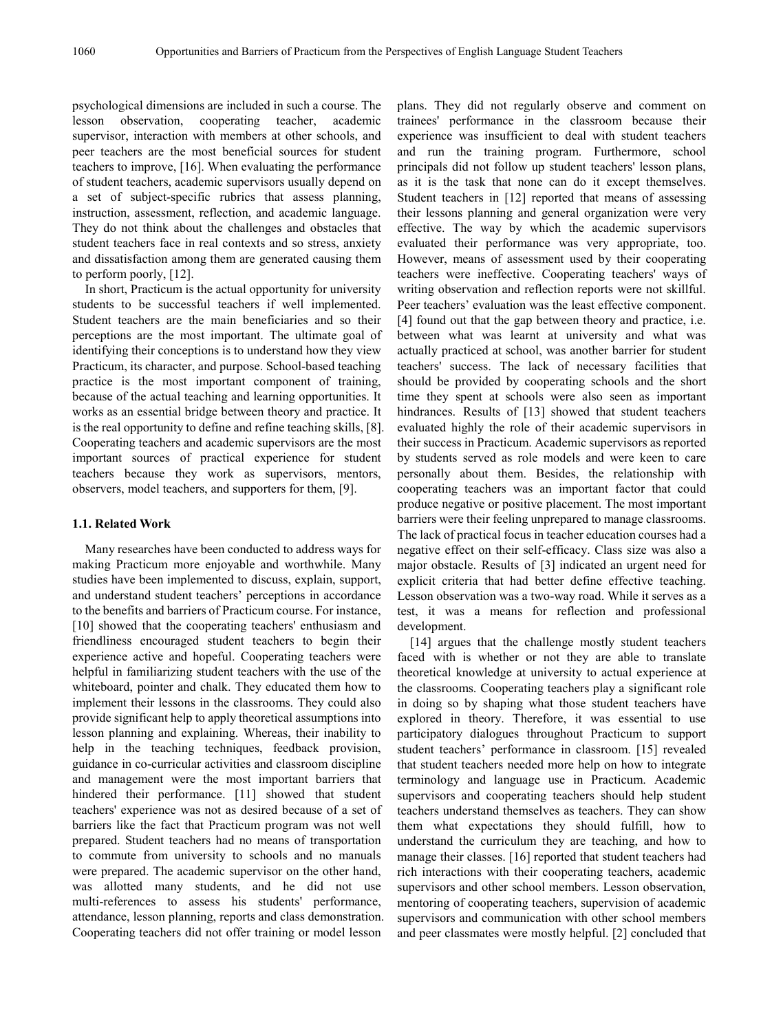psychological dimensions are included in such a course. The lesson observation, cooperating teacher, academic supervisor, interaction with members at other schools, and peer teachers are the most beneficial sources for student teachers to improve, [16]. When evaluating the performance of student teachers, academic supervisors usually depend on a set of subject-specific rubrics that assess planning, instruction, assessment, reflection, and academic language. They do not think about the challenges and obstacles that student teachers face in real contexts and so stress, anxiety and dissatisfaction among them are generated causing them to perform poorly, [12].

In short, Practicum is the actual opportunity for university students to be successful teachers if well implemented. Student teachers are the main beneficiaries and so their perceptions are the most important. The ultimate goal of identifying their conceptions is to understand how they view Practicum, its character, and purpose. School-based teaching practice is the most important component of training, because of the actual teaching and learning opportunities. It works as an essential bridge between theory and practice. It is the real opportunity to define and refine teaching skills, [8]. Cooperating teachers and academic supervisors are the most important sources of practical experience for student teachers because they work as supervisors, mentors, observers, model teachers, and supporters for them, [9].

#### **1.1. Related Work**

Many researches have been conducted to address ways for making Practicum more enjoyable and worthwhile. Many studies have been implemented to discuss, explain, support, and understand student teachers' perceptions in accordance to the benefits and barriers of Practicum course. For instance, [10] showed that the cooperating teachers' enthusiasm and friendliness encouraged student teachers to begin their experience active and hopeful. Cooperating teachers were helpful in familiarizing student teachers with the use of the whiteboard, pointer and chalk. They educated them how to implement their lessons in the classrooms. They could also provide significant help to apply theoretical assumptions into lesson planning and explaining. Whereas, their inability to help in the teaching techniques, feedback provision, guidance in co-curricular activities and classroom discipline and management were the most important barriers that hindered their performance. [11] showed that student teachers' experience was not as desired because of a set of barriers like the fact that Practicum program was not well prepared. Student teachers had no means of transportation to commute from university to schools and no manuals were prepared. The academic supervisor on the other hand, was allotted many students, and he did not use multi-references to assess his students' performance, attendance, lesson planning, reports and class demonstration. Cooperating teachers did not offer training or model lesson

plans. They did not regularly observe and comment on trainees' performance in the classroom because their experience was insufficient to deal with student teachers and run the training program. Furthermore, school principals did not follow up student teachers' lesson plans, as it is the task that none can do it except themselves. Student teachers in [12] reported that means of assessing their lessons planning and general organization were very effective. The way by which the academic supervisors evaluated their performance was very appropriate, too. However, means of assessment used by their cooperating teachers were ineffective. Cooperating teachers' ways of writing observation and reflection reports were not skillful. Peer teachers' evaluation was the least effective component. [4] found out that the gap between theory and practice, i.e. between what was learnt at university and what was actually practiced at school, was another barrier for student teachers' success. The lack of necessary facilities that should be provided by cooperating schools and the short time they spent at schools were also seen as important hindrances. Results of [13] showed that student teachers evaluated highly the role of their academic supervisors in their success in Practicum. Academic supervisors as reported by students served as role models and were keen to care personally about them. Besides, the relationship with cooperating teachers was an important factor that could produce negative or positive placement. The most important barriers were their feeling unprepared to manage classrooms. The lack of practical focus in teacher education courses had a negative effect on their self-efficacy. Class size was also a major obstacle. Results of [3] indicated an urgent need for explicit criteria that had better define effective teaching. Lesson observation was a two-way road. While it serves as a test, it was a means for reflection and professional development.

[14] argues that the challenge mostly student teachers faced with is whether or not they are able to translate theoretical knowledge at university to actual experience at the classrooms. Cooperating teachers play a significant role in doing so by shaping what those student teachers have explored in theory. Therefore, it was essential to use participatory dialogues throughout Practicum to support student teachers' performance in classroom. [15] revealed that student teachers needed more help on how to integrate terminology and language use in Practicum. Academic supervisors and cooperating teachers should help student teachers understand themselves as teachers. They can show them what expectations they should fulfill, how to understand the curriculum they are teaching, and how to manage their classes. [16] reported that student teachers had rich interactions with their cooperating teachers, academic supervisors and other school members. Lesson observation, mentoring of cooperating teachers, supervision of academic supervisors and communication with other school members and peer classmates were mostly helpful. [2] concluded that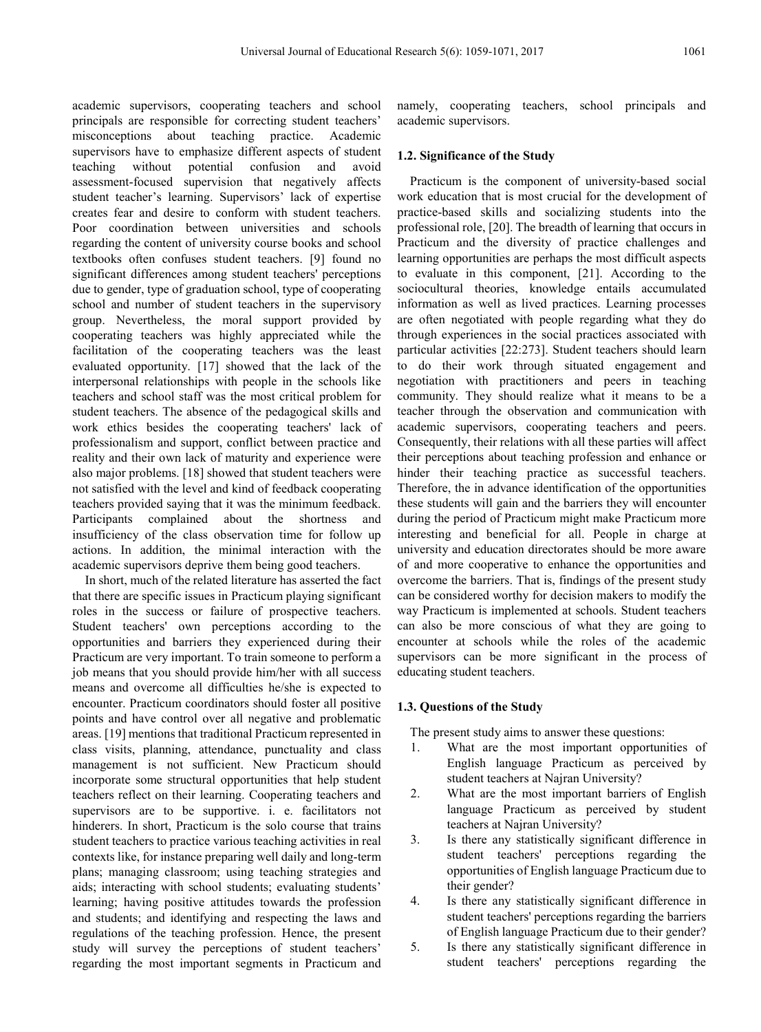academic supervisors, cooperating teachers and school principals are responsible for correcting student teachers' misconceptions about teaching practice. Academic supervisors have to emphasize different aspects of student teaching without potential confusion and avoid assessment-focused supervision that negatively affects student teacher's learning. Supervisors' lack of expertise creates fear and desire to conform with student teachers. Poor coordination between universities and schools regarding the content of university course books and school textbooks often confuses student teachers. [9] found no significant differences among student teachers' perceptions due to gender, type of graduation school, type of cooperating school and number of student teachers in the supervisory group. Nevertheless, the moral support provided by cooperating teachers was highly appreciated while the facilitation of the cooperating teachers was the least evaluated opportunity. [17] showed that the lack of the interpersonal relationships with people in the schools like teachers and school staff was the most critical problem for student teachers. The absence of the pedagogical skills and work ethics besides the cooperating teachers' lack of professionalism and support, conflict between practice and reality and their own lack of maturity and experience were also major problems. [18] showed that student teachers were not satisfied with the level and kind of feedback cooperating teachers provided saying that it was the minimum feedback. Participants complained about the shortness and insufficiency of the class observation time for follow up actions. In addition, the minimal interaction with the academic supervisors deprive them being good teachers.

In short, much of the related literature has asserted the fact that there are specific issues in Practicum playing significant roles in the success or failure of prospective teachers. Student teachers' own perceptions according to the opportunities and barriers they experienced during their Practicum are very important. To train someone to perform a job means that you should provide him/her with all success means and overcome all difficulties he/she is expected to encounter. Practicum coordinators should foster all positive points and have control over all negative and problematic areas. [19] mentions that traditional Practicum represented in class visits, planning, attendance, punctuality and class management is not sufficient. New Practicum should incorporate some structural opportunities that help student teachers reflect on their learning. Cooperating teachers and supervisors are to be supportive. i. e. facilitators not hinderers. In short, Practicum is the solo course that trains student teachers to practice various teaching activities in real contexts like, for instance preparing well daily and long-term plans; managing classroom; using teaching strategies and aids; interacting with school students; evaluating students' learning; having positive attitudes towards the profession and students; and identifying and respecting the laws and regulations of the teaching profession. Hence, the present study will survey the perceptions of student teachers' regarding the most important segments in Practicum and

namely, cooperating teachers, school principals and academic supervisors.

#### **1.2. Significance of the Study**

Practicum is the component of university-based social work education that is most crucial for the development of practice-based skills and socializing students into the professional role, [20]. The breadth of learning that occurs in Practicum and the diversity of practice challenges and learning opportunities are perhaps the most difficult aspects to evaluate in this component, [21]. According to the sociocultural theories, knowledge entails accumulated information as well as lived practices. Learning processes are often negotiated with people regarding what they do through experiences in the social practices associated with particular activities [22:273]. Student teachers should learn to do their work through situated engagement and negotiation with practitioners and peers in teaching community. They should realize what it means to be a teacher through the observation and communication with academic supervisors, cooperating teachers and peers. Consequently, their relations with all these parties will affect their perceptions about teaching profession and enhance or hinder their teaching practice as successful teachers. Therefore, the in advance identification of the opportunities these students will gain and the barriers they will encounter during the period of Practicum might make Practicum more interesting and beneficial for all. People in charge at university and education directorates should be more aware of and more cooperative to enhance the opportunities and overcome the barriers. That is, findings of the present study can be considered worthy for decision makers to modify the way Practicum is implemented at schools. Student teachers can also be more conscious of what they are going to encounter at schools while the roles of the academic supervisors can be more significant in the process of educating student teachers.

#### **1.3. Questions of the Study**

The present study aims to answer these questions:

- 1. What are the most important opportunities of English language Practicum as perceived by student teachers at Najran University?
- 2. What are the most important barriers of English language Practicum as perceived by student teachers at Najran University?
- 3. Is there any statistically significant difference in student teachers' perceptions regarding the opportunities of English language Practicum due to their gender?
- 4. Is there any statistically significant difference in student teachers' perceptions regarding the barriers of English language Practicum due to their gender?
- 5. Is there any statistically significant difference in student teachers' perceptions regarding the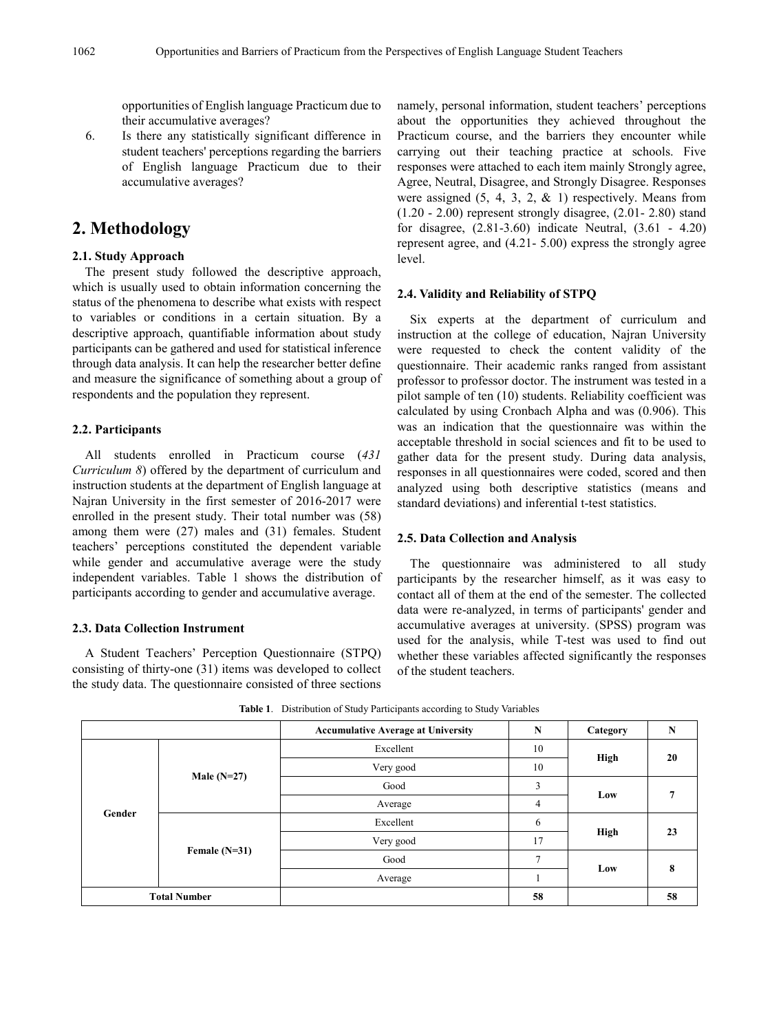opportunities of English language Practicum due to their accumulative averages?

6. Is there any statistically significant difference in student teachers' perceptions regarding the barriers of English language Practicum due to their accumulative averages?

### **2. Methodology**

#### **2.1. Study Approach**

The present study followed the descriptive approach, which is usually used to obtain information concerning the status of the phenomena to describe what exists with respect to variables or conditions in a certain situation. By a descriptive approach, quantifiable information about study participants can be gathered and used for statistical inference through data analysis. It can help the researcher better define and measure the significance of something about a group of respondents and the population they represent.

#### **2.2. Participants**

All students enrolled in Practicum course (*431 Curriculum 8*) offered by the department of curriculum and instruction students at the department of English language at Najran University in the first semester of 2016-2017 were enrolled in the present study. Their total number was (58) among them were (27) males and (31) females. Student teachers' perceptions constituted the dependent variable while gender and accumulative average were the study independent variables. Table 1 shows the distribution of participants according to gender and accumulative average.

#### **2.3. Data Collection Instrument**

A Student Teachers' Perception Questionnaire (STPQ) consisting of thirty-one (31) items was developed to collect the study data. The questionnaire consisted of three sections

namely, personal information, student teachers' perceptions about the opportunities they achieved throughout the Practicum course, and the barriers they encounter while carrying out their teaching practice at schools. Five responses were attached to each item mainly Strongly agree, Agree, Neutral, Disagree, and Strongly Disagree. Responses were assigned  $(5, 4, 3, 2, \& 1)$  respectively. Means from (1.20 - 2.00) represent strongly disagree, (2.01- 2.80) stand for disagree, (2.81-3.60) indicate Neutral, (3.61 - 4.20) represent agree, and (4.21- 5.00) express the strongly agree level.

#### **2.4. Validity and Reliability of STPQ**

Six experts at the department of curriculum and instruction at the college of education, Najran University were requested to check the content validity of the questionnaire. Their academic ranks ranged from assistant professor to professor doctor. The instrument was tested in a pilot sample of ten (10) students. Reliability coefficient was calculated by using Cronbach Alpha and was (0.906). This was an indication that the questionnaire was within the acceptable threshold in social sciences and fit to be used to gather data for the present study. During data analysis, responses in all questionnaires were coded, scored and then analyzed using both descriptive statistics (means and standard deviations) and inferential t-test statistics.

#### **2.5. Data Collection and Analysis**

The questionnaire was administered to all study participants by the researcher himself, as it was easy to contact all of them at the end of the semester. The collected data were re-analyzed, in terms of participants' gender and accumulative averages at university. (SPSS) program was used for the analysis, while T-test was used to find out whether these variables affected significantly the responses of the student teachers.

|                     |                 | <b>Accumulative Average at University</b> | N            | Category | N  |
|---------------------|-----------------|-------------------------------------------|--------------|----------|----|
|                     |                 | Excellent                                 | 10           |          | 20 |
|                     | Male $(N=27)$   | Very good                                 | High         |          |    |
|                     |                 | Good                                      | 3            |          |    |
| Gender              |                 | Average                                   | 4            | Low      |    |
|                     | Female $(N=31)$ | Excellent                                 | 6            |          |    |
|                     |                 | Very good                                 | 17           | High     | 23 |
|                     |                 | Good                                      | $\mathbf{r}$ |          |    |
|                     |                 | Average                                   |              | Low      | 8  |
| <b>Total Number</b> |                 |                                           | 58           |          | 58 |

**Table 1**. Distribution of Study Participants according to Study Variables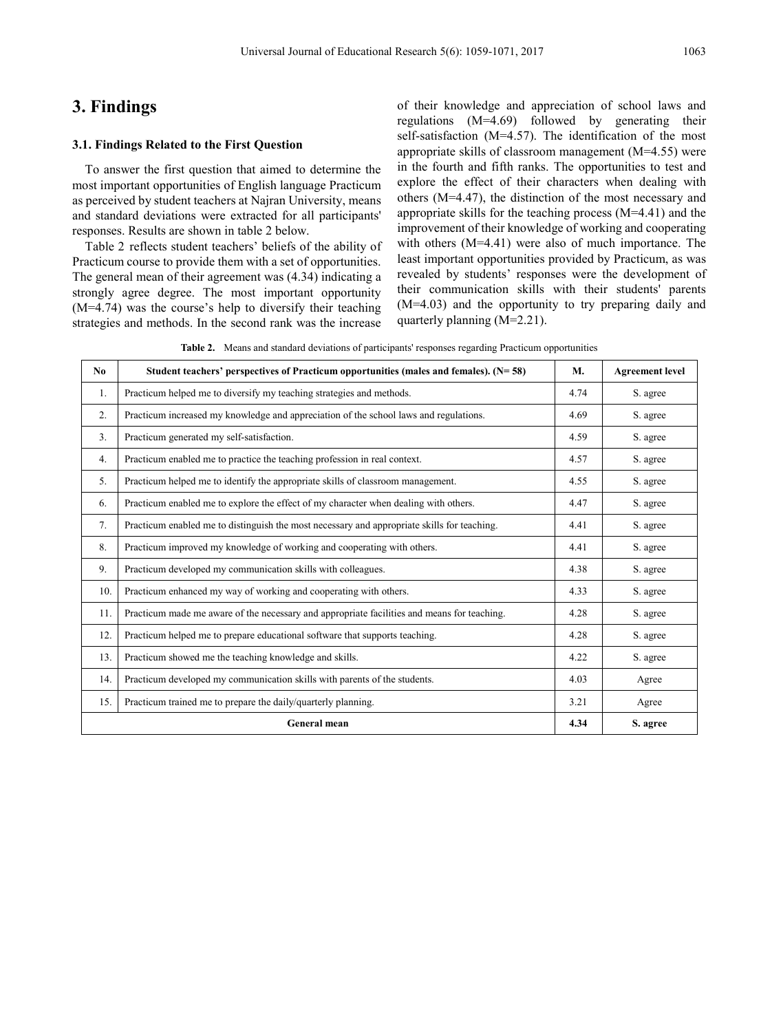## **3. Findings**

#### **3.1. Findings Related to the First Question**

To answer the first question that aimed to determine the most important opportunities of English language Practicum as perceived by student teachers at Najran University, means and standard deviations were extracted for all participants' responses. Results are shown in table 2 below.

Table 2 reflects student teachers' beliefs of the ability of Practicum course to provide them with a set of opportunities. The general mean of their agreement was (4.34) indicating a strongly agree degree. The most important opportunity (M=4.74) was the course's help to diversify their teaching strategies and methods. In the second rank was the increase

of their knowledge and appreciation of school laws and regulations (M=4.69) followed by generating their self-satisfaction (M=4.57). The identification of the most appropriate skills of classroom management (M=4.55) were in the fourth and fifth ranks. The opportunities to test and explore the effect of their characters when dealing with others (M=4.47), the distinction of the most necessary and appropriate skills for the teaching process (M=4.41) and the improvement of their knowledge of working and cooperating with others (M=4.41) were also of much importance. The least important opportunities provided by Practicum, as was revealed by students' responses were the development of their communication skills with their students' parents (M=4.03) and the opportunity to try preparing daily and quarterly planning (M=2.21).

**Table 2.** Means and standard deviations of participants' responses regarding Practicum opportunities

| N <sub>0</sub> | Student teachers' perspectives of Practicum opportunities (males and females). $(N=58)$     | M.   | <b>Agreement</b> level |
|----------------|---------------------------------------------------------------------------------------------|------|------------------------|
| 1.             | Practicum helped me to diversify my teaching strategies and methods.                        | 4.74 | S. agree               |
| 2.             | Practicum increased my knowledge and appreciation of the school laws and regulations.       | 4.69 | S. agree               |
| 3.             | Practicum generated my self-satisfaction.                                                   | 4.59 | S. agree               |
| 4.             | Practicum enabled me to practice the teaching profession in real context.                   | 4.57 | S. agree               |
| 5.             | Practicum helped me to identify the appropriate skills of classroom management.             | 4.55 | S. agree               |
| 6.             | Practicum enabled me to explore the effect of my character when dealing with others.        | 4.47 | S. agree               |
| 7.             | Practicum enabled me to distinguish the most necessary and appropriate skills for teaching. | 4.41 | S. agree               |
| 8.             | Practicum improved my knowledge of working and cooperating with others.                     | 4.41 | S. agree               |
| 9.             | Practicum developed my communication skills with colleagues.                                | 4.38 | S. agree               |
| 10.            | Practicum enhanced my way of working and cooperating with others.                           | 4.33 | S. agree               |
| 11.            | Practicum made me aware of the necessary and appropriate facilities and means for teaching. | 4.28 | S. agree               |
| 12.            | Practicum helped me to prepare educational software that supports teaching.                 | 4.28 | S. agree               |
| 13.            | Practicum showed me the teaching knowledge and skills.                                      | 4.22 | S. agree               |
| 14.            | Practicum developed my communication skills with parents of the students.                   | 4.03 | Agree                  |
| 15.            | Practicum trained me to prepare the daily/quarterly planning.                               | 3.21 | Agree                  |
|                | <b>General mean</b>                                                                         | 4.34 | S. agree               |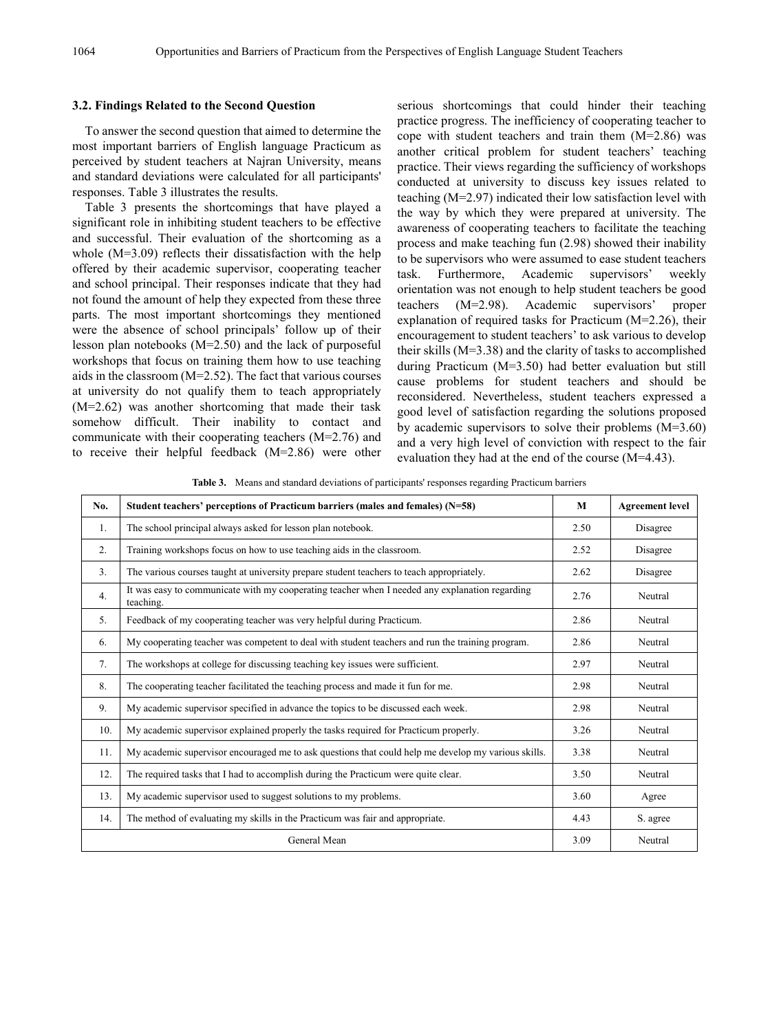#### **3.2. Findings Related to the Second Question**

To answer the second question that aimed to determine the most important barriers of English language Practicum as perceived by student teachers at Najran University, means and standard deviations were calculated for all participants' responses. Table 3 illustrates the results.

Table 3 presents the shortcomings that have played a significant role in inhibiting student teachers to be effective and successful. Their evaluation of the shortcoming as a whole (M=3.09) reflects their dissatisfaction with the help offered by their academic supervisor, cooperating teacher and school principal. Their responses indicate that they had not found the amount of help they expected from these three parts. The most important shortcomings they mentioned were the absence of school principals' follow up of their lesson plan notebooks (M=2.50) and the lack of purposeful workshops that focus on training them how to use teaching aids in the classroom (M=2.52). The fact that various courses at university do not qualify them to teach appropriately (M=2.62) was another shortcoming that made their task somehow difficult. Their inability to contact and communicate with their cooperating teachers (M=2.76) and to receive their helpful feedback (M=2.86) were other

serious shortcomings that could hinder their teaching practice progress. The inefficiency of cooperating teacher to cope with student teachers and train them (M=2.86) was another critical problem for student teachers' teaching practice. Their views regarding the sufficiency of workshops conducted at university to discuss key issues related to teaching (M=2.97) indicated their low satisfaction level with the way by which they were prepared at university. The awareness of cooperating teachers to facilitate the teaching process and make teaching fun (2.98) showed their inability to be supervisors who were assumed to ease student teachers task. Furthermore, Academic supervisors' weekly orientation was not enough to help student teachers be good teachers (M=2.98). Academic supervisors' proper explanation of required tasks for Practicum (M=2.26), their encouragement to student teachers' to ask various to develop their skills (M=3.38) and the clarity of tasks to accomplished during Practicum (M=3.50) had better evaluation but still cause problems for student teachers and should be reconsidered. Nevertheless, student teachers expressed a good level of satisfaction regarding the solutions proposed by academic supervisors to solve their problems (M=3.60) and a very high level of conviction with respect to the fair evaluation they had at the end of the course (M=4.43).

**Table 3.** Means and standard deviations of participants' responses regarding Practicum barriers

| No.              | Student teachers' perceptions of Practicum barriers (males and females) $(N=58)$                            | M    | <b>Agreement level</b> |
|------------------|-------------------------------------------------------------------------------------------------------------|------|------------------------|
| 1.               | The school principal always asked for lesson plan notebook.                                                 | 2.50 | Disagree               |
| 2.               | Training workshops focus on how to use teaching aids in the classroom.                                      | 2.52 | Disagree               |
| $\overline{3}$ . | The various courses taught at university prepare student teachers to teach appropriately.                   | 2.62 | Disagree               |
| 4.               | It was easy to communicate with my cooperating teacher when I needed any explanation regarding<br>teaching. | 2.76 | Neutral                |
| 5.               | Feedback of my cooperating teacher was very helpful during Practicum.                                       | 2.86 | Neutral                |
| 6.               | My cooperating teacher was competent to deal with student teachers and run the training program.            | 2.86 | Neutral                |
| 7.               | The workshops at college for discussing teaching key issues were sufficient.                                | 2.97 | Neutral                |
| 8.               | The cooperating teacher facilitated the teaching process and made it fun for me.                            | 2.98 | Neutral                |
| 9.               | My academic supervisor specified in advance the topics to be discussed each week.                           | 2.98 | Neutral                |
| 10.              | My academic supervisor explained properly the tasks required for Practicum properly.                        | 3.26 | Neutral                |
| 11.              | My academic supervisor encouraged me to ask questions that could help me develop my various skills.         | 3.38 | Neutral                |
| 12.              | The required tasks that I had to accomplish during the Practicum were quite clear.                          | 3.50 | Neutral                |
| 13.              | My academic supervisor used to suggest solutions to my problems.                                            | 3.60 | Agree                  |
| 14.              | The method of evaluating my skills in the Practicum was fair and appropriate.                               | 4.43 | S. agree               |
|                  | General Mean                                                                                                | 3.09 | Neutral                |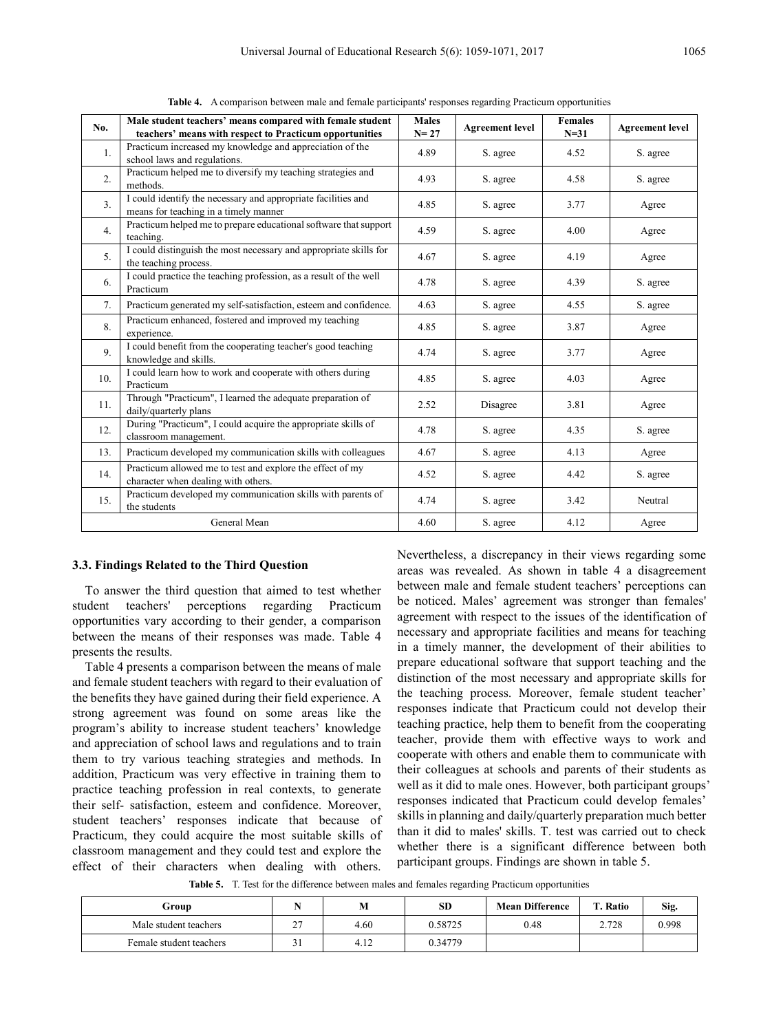| No.            | Male student teachers' means compared with female student<br>teachers' means with respect to Practicum opportunities | <b>Males</b><br>$N = 27$ | <b>Agreement level</b> | <b>Females</b><br>$N=31$ | <b>Agreement level</b> |
|----------------|----------------------------------------------------------------------------------------------------------------------|--------------------------|------------------------|--------------------------|------------------------|
| 1.             | Practicum increased my knowledge and appreciation of the<br>school laws and regulations.                             | 4.89                     | S. agree               | 4.52                     | S. agree               |
| 2.             | Practicum helped me to diversify my teaching strategies and<br>methods.                                              | 4.93                     | S. agree               | 4.58                     | S. agree               |
| 3 <sub>1</sub> | I could identify the necessary and appropriate facilities and<br>means for teaching in a timely manner               | 4.85                     | S. agree               | 3.77                     | Agree                  |
| 4.             | Practicum helped me to prepare educational software that support<br>teaching.                                        | 4.59                     | S. agree               | 4.00                     | Agree                  |
| 5 <sub>1</sub> | I could distinguish the most necessary and appropriate skills for<br>the teaching process.                           | 4.67                     | S. agree               | 4.19                     | Agree                  |
| 6.             | I could practice the teaching profession, as a result of the well<br>Practicum                                       | 4.78                     | S. agree               | 4.39                     | S. agree               |
| 7.             | Practicum generated my self-satisfaction, esteem and confidence.                                                     | 4.63                     | S. agree               | 4.55                     | S. agree               |
| 8.             | Practicum enhanced, fostered and improved my teaching<br>experience.                                                 | 4.85                     | S. agree               | 3.87                     | Agree                  |
| 9.             | I could benefit from the cooperating teacher's good teaching<br>knowledge and skills.                                | 4.74                     | S. agree               | 3.77                     | Agree                  |
| 10.            | I could learn how to work and cooperate with others during<br>Practicum                                              | 4.85                     | S. agree               | 4.03                     | Agree                  |
| 11.            | Through "Practicum", I learned the adequate preparation of<br>daily/quarterly plans                                  | 2.52                     | Disagree               | 3.81                     | Agree                  |
| 12.            | During "Practicum", I could acquire the appropriate skills of<br>classroom management.                               | 4.78                     | S. agree               | 4.35                     | S. agree               |
| 13.            | Practicum developed my communication skills with colleagues                                                          | 4.67                     | S. agree               | 4.13                     | Agree                  |
| 14.            | Practicum allowed me to test and explore the effect of my<br>character when dealing with others.                     | 4.52                     | S. agree               | 4.42                     | S. agree               |
| 15.            | Practicum developed my communication skills with parents of<br>the students                                          | 4.74                     | S. agree               | 3.42                     | Neutral                |
|                | General Mean                                                                                                         | 4.60                     | S. agree               | 4.12                     | Agree                  |

**Table 4.** A comparison between male and female participants' responses regarding Practicum opportunities

#### **3.3. Findings Related to the Third Question**

To answer the third question that aimed to test whether student teachers' perceptions regarding Practicum opportunities vary according to their gender, a comparison between the means of their responses was made. Table 4 presents the results.

Table 4 presents a comparison between the means of male and female student teachers with regard to their evaluation of the benefits they have gained during their field experience. A strong agreement was found on some areas like the program's ability to increase student teachers' knowledge and appreciation of school laws and regulations and to train them to try various teaching strategies and methods. In addition, Practicum was very effective in training them to practice teaching profession in real contexts, to generate their self- satisfaction, esteem and confidence. Moreover, student teachers' responses indicate that because of Practicum, they could acquire the most suitable skills of classroom management and they could test and explore the effect of their characters when dealing with others.

Nevertheless, a discrepancy in their views regarding some areas was revealed. As shown in table 4 a disagreement between male and female student teachers' perceptions can be noticed. Males' agreement was stronger than females' agreement with respect to the issues of the identification of necessary and appropriate facilities and means for teaching in a timely manner, the development of their abilities to prepare educational software that support teaching and the distinction of the most necessary and appropriate skills for the teaching process. Moreover, female student teacher' responses indicate that Practicum could not develop their teaching practice, help them to benefit from the cooperating teacher, provide them with effective ways to work and cooperate with others and enable them to communicate with their colleagues at schools and parents of their students as well as it did to male ones. However, both participant groups' responses indicated that Practicum could develop females' skills in planning and daily/quarterly preparation much better than it did to males' skills. T. test was carried out to check whether there is a significant difference between both participant groups. Findings are shown in table 5.

**Table 5.** T. Test for the difference between males and females regarding Practicum opportunities

| Group                   |          | M    | SD      | <b>Mean Difference</b> | m<br>. Ratio | Sig.  |
|-------------------------|----------|------|---------|------------------------|--------------|-------|
| Male student teachers   | ^^<br>∼  | 4.60 | 0.58725 | 0.48                   | 2.728        | 0.998 |
| Female student teachers | ∼<br>- 1 | 4.12 | 0.34779 |                        |              |       |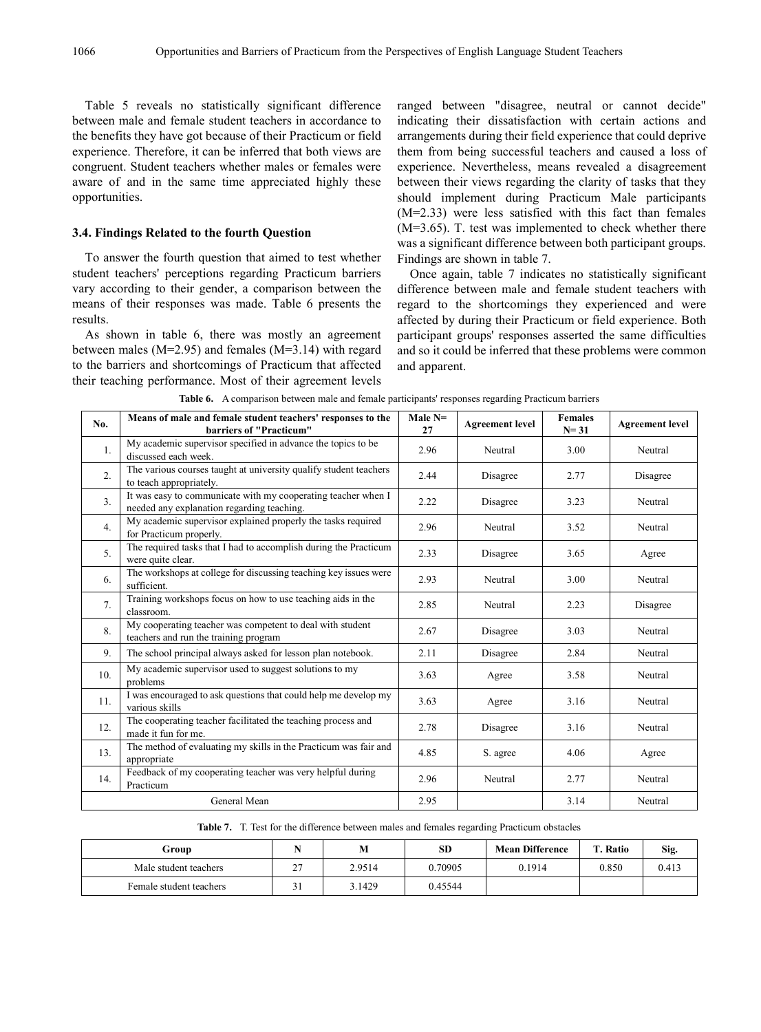Table 5 reveals no statistically significant difference between male and female student teachers in accordance to the benefits they have got because of their Practicum or field experience. Therefore, it can be inferred that both views are congruent. Student teachers whether males or females were aware of and in the same time appreciated highly these opportunities.

#### **3.4. Findings Related to the fourth Question**

To answer the fourth question that aimed to test whether student teachers' perceptions regarding Practicum barriers vary according to their gender, a comparison between the means of their responses was made. Table 6 presents the results.

As shown in table 6, there was mostly an agreement between males ( $M=2.95$ ) and females ( $M=3.14$ ) with regard to the barriers and shortcomings of Practicum that affected their teaching performance. Most of their agreement levels

ranged between "disagree, neutral or cannot decide" indicating their dissatisfaction with certain actions and arrangements during their field experience that could deprive them from being successful teachers and caused a loss of experience. Nevertheless, means revealed a disagreement between their views regarding the clarity of tasks that they should implement during Practicum Male participants (M=2.33) were less satisfied with this fact than females (M=3.65). T. test was implemented to check whether there was a significant difference between both participant groups. Findings are shown in table 7.

Once again, table 7 indicates no statistically significant difference between male and female student teachers with regard to the shortcomings they experienced and were affected by during their Practicum or field experience. Both participant groups' responses asserted the same difficulties and so it could be inferred that these problems were common and apparent.

| No.            | Means of male and female student teachers' responses to the<br>barriers of "Practicum"                      | Male $N=$<br>27 | <b>Agreement</b> level | <b>Females</b><br>$N = 31$ | <b>Agreement</b> level |
|----------------|-------------------------------------------------------------------------------------------------------------|-----------------|------------------------|----------------------------|------------------------|
| 1.             | My academic supervisor specified in advance the topics to be<br>discussed each week.                        | 2.96            | Neutral                | 3.00                       | Neutral                |
| 2.             | The various courses taught at university qualify student teachers<br>to teach appropriately.                | 2.44            | Disagree               | 2.77                       | Disagree               |
| 3 <sub>1</sub> | It was easy to communicate with my cooperating teacher when I<br>needed any explanation regarding teaching. | 2.22            | Disagree               | 3.23                       | Neutral                |
| 4.             | My academic supervisor explained properly the tasks required<br>for Practicum properly.                     | 2.96            | Neutral                | 3.52                       | Neutral                |
| 5 <sub>1</sub> | The required tasks that I had to accomplish during the Practicum<br>were quite clear.                       | 2.33            | Disagree               | 3.65                       | Agree                  |
| 6.             | The workshops at college for discussing teaching key issues were<br>sufficient.                             | 2.93            | Neutral                | 3.00                       | Neutral                |
| 7 <sub>1</sub> | Training workshops focus on how to use teaching aids in the<br>classroom.                                   | 2.85            | Neutral                | 2.23                       | Disagree               |
| 8.             | My cooperating teacher was competent to deal with student<br>teachers and run the training program          | 2.67            | Disagree               | 3.03                       | Neutral                |
| 9.             | The school principal always asked for lesson plan notebook.                                                 | 2.11            | Disagree               | 2.84                       | Neutral                |
| 10.            | My academic supervisor used to suggest solutions to my<br>problems                                          | 3.63            | Agree                  | 3.58                       | Neutral                |
| 11.            | I was encouraged to ask questions that could help me develop my<br>various skills                           | 3.63            | Agree                  | 3.16                       | Neutral                |
| 12.            | The cooperating teacher facilitated the teaching process and<br>made it fun for me.                         | 2.78            | Disagree               | 3.16                       | Neutral                |
| 13.            | The method of evaluating my skills in the Practicum was fair and<br>appropriate                             | 4.85            | S. agree               | 4.06                       | Agree                  |
| 14.            | Feedback of my cooperating teacher was very helpful during<br>Practicum                                     | 2.96            | Neutral                | 2.77                       | Neutral                |
|                | General Mean                                                                                                | 2.95            |                        | 3.14                       | Neutral                |

**Table 6.** A comparison between male and female participants' responses regarding Practicum barriers

**Table 7.** T. Test for the difference between males and females regarding Practicum obstacles

| Group                   |                 | M      | SD      | <b>Mean Difference</b> | m<br>Ratio | Sig.  |
|-------------------------|-----------------|--------|---------|------------------------|------------|-------|
| Male student teachers   | $\sim$<br>-     | 2.9514 | 0.70905 | 0.1914                 | 0.850      | 0.413 |
| Female student teachers | $^{\sim}$<br>┙┚ | 3.1429 | 0.45544 |                        |            |       |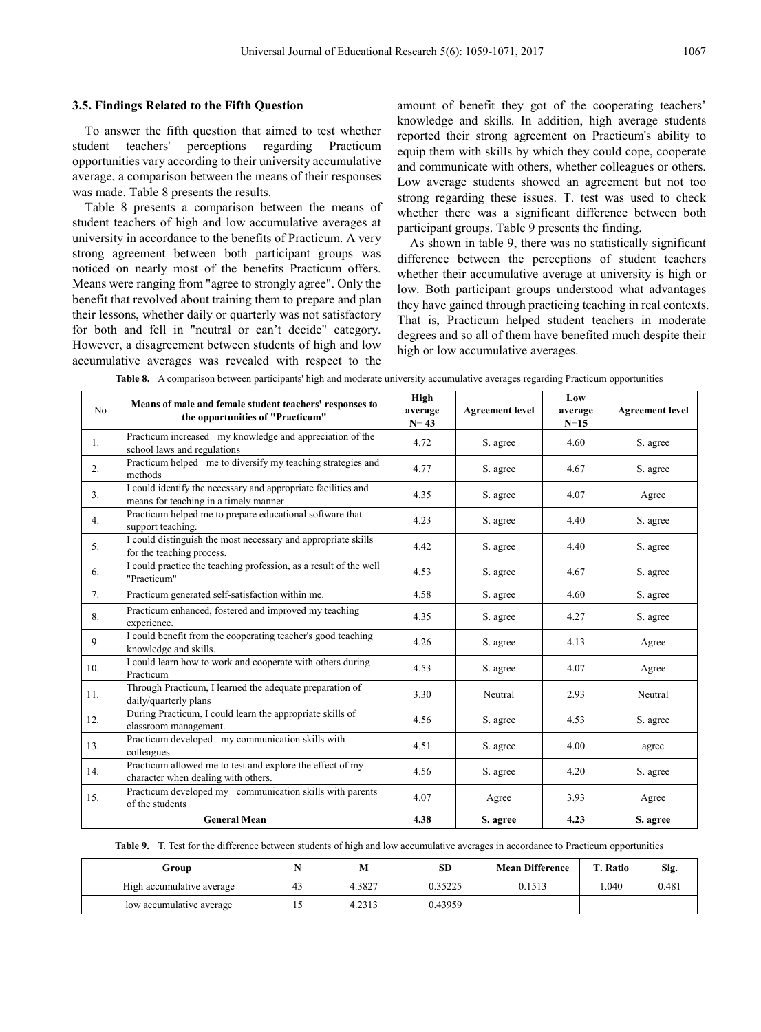#### **3.5. Findings Related to the Fifth Question**

To answer the fifth question that aimed to test whether student teachers' perceptions regarding Practicum opportunities vary according to their university accumulative average, a comparison between the means of their responses was made. Table 8 presents the results.

Table 8 presents a comparison between the means of student teachers of high and low accumulative averages at university in accordance to the benefits of Practicum. A very strong agreement between both participant groups was noticed on nearly most of the benefits Practicum offers. Means were ranging from "agree to strongly agree". Only the benefit that revolved about training them to prepare and plan their lessons, whether daily or quarterly was not satisfactory for both and fell in "neutral or can't decide" category. However, a disagreement between students of high and low accumulative averages was revealed with respect to the

amount of benefit they got of the cooperating teachers' knowledge and skills. In addition, high average students reported their strong agreement on Practicum's ability to equip them with skills by which they could cope, cooperate and communicate with others, whether colleagues or others. Low average students showed an agreement but not too strong regarding these issues. T. test was used to check whether there was a significant difference between both participant groups. Table 9 presents the finding.

As shown in table 9, there was no statistically significant difference between the perceptions of student teachers whether their accumulative average at university is high or low. Both participant groups understood what advantages they have gained through practicing teaching in real contexts. That is, Practicum helped student teachers in moderate degrees and so all of them have benefited much despite their high or low accumulative averages.

| No             | Means of male and female student teachers' responses to<br>the opportunities of "Practicum"            |      | <b>Agreement level</b> | Low<br>average<br>$N=15$ | <b>Agreement level</b> |
|----------------|--------------------------------------------------------------------------------------------------------|------|------------------------|--------------------------|------------------------|
| 1.             | Practicum increased my knowledge and appreciation of the<br>school laws and regulations                | 4.72 | S. agree               | 4.60                     | S. agree               |
| 2.             | Practicum helped me to diversify my teaching strategies and<br>methods                                 | 4.77 | S. agree               | 4.67                     | S. agree               |
| 3 <sub>1</sub> | I could identify the necessary and appropriate facilities and<br>means for teaching in a timely manner | 4.35 | S. agree               | 4.07                     | Agree                  |
| 4.             | Practicum helped me to prepare educational software that<br>support teaching.                          | 4.23 | S. agree               | 4.40                     | S. agree               |
| 5.             | I could distinguish the most necessary and appropriate skills<br>for the teaching process.             | 4.42 | S. agree               | 4.40                     | S. agree               |
| 6.             | I could practice the teaching profession, as a result of the well<br>"Practicum"                       | 4.53 | S. agree               | 4.67                     | S. agree               |
| 7.             | Practicum generated self-satisfaction within me.                                                       | 4.58 | S. agree               | 4.60                     | S. agree               |
| 8.             | Practicum enhanced, fostered and improved my teaching<br>experience.                                   | 4.35 | S. agree               | 4.27                     | S. agree               |
| 9.             | I could benefit from the cooperating teacher's good teaching<br>knowledge and skills.                  | 4.26 | S. agree               | 4.13                     | Agree                  |
| 10.            | I could learn how to work and cooperate with others during<br>Practicum                                | 4.53 | S. agree               | 4.07                     | Agree                  |
| 11.            | Through Practicum, I learned the adequate preparation of<br>daily/quarterly plans                      | 3.30 | Neutral                | 2.93                     | Neutral                |
| 12.            | During Practicum, I could learn the appropriate skills of<br>classroom management.                     | 4.56 | S. agree               | 4.53                     | S. agree               |
| 13.            | Practicum developed my communication skills with<br>colleagues                                         | 4.51 | S. agree               | 4.00                     | agree                  |
| 14.            | Practicum allowed me to test and explore the effect of my<br>character when dealing with others.       | 4.56 | S. agree               | 4.20                     | S. agree               |
| 15.            | Practicum developed my communication skills with parents<br>of the students                            | 4.07 | Agree                  | 3.93                     | Agree                  |
|                | <b>General Mean</b>                                                                                    | 4.38 | S. agree               | 4.23                     | S. agree               |

**Table 8.** A comparison between participants' high and moderate university accumulative averages regarding Practicum opportunities

**Table 9.** T. Test for the difference between students of high and low accumulative averages in accordance to Practicum opportunities

| Group                     |     | M      | <b>SD</b> | <b>Mean Difference</b> | <b>T. Ratio</b> | Sig.  |
|---------------------------|-----|--------|-----------|------------------------|-----------------|-------|
| High accumulative average | 43  | 4.3827 | 0.35225   | 0.1513                 | 1.040           | 0.481 |
| low accumulative average  | . . | 4.2313 | 0.43959   |                        |                 |       |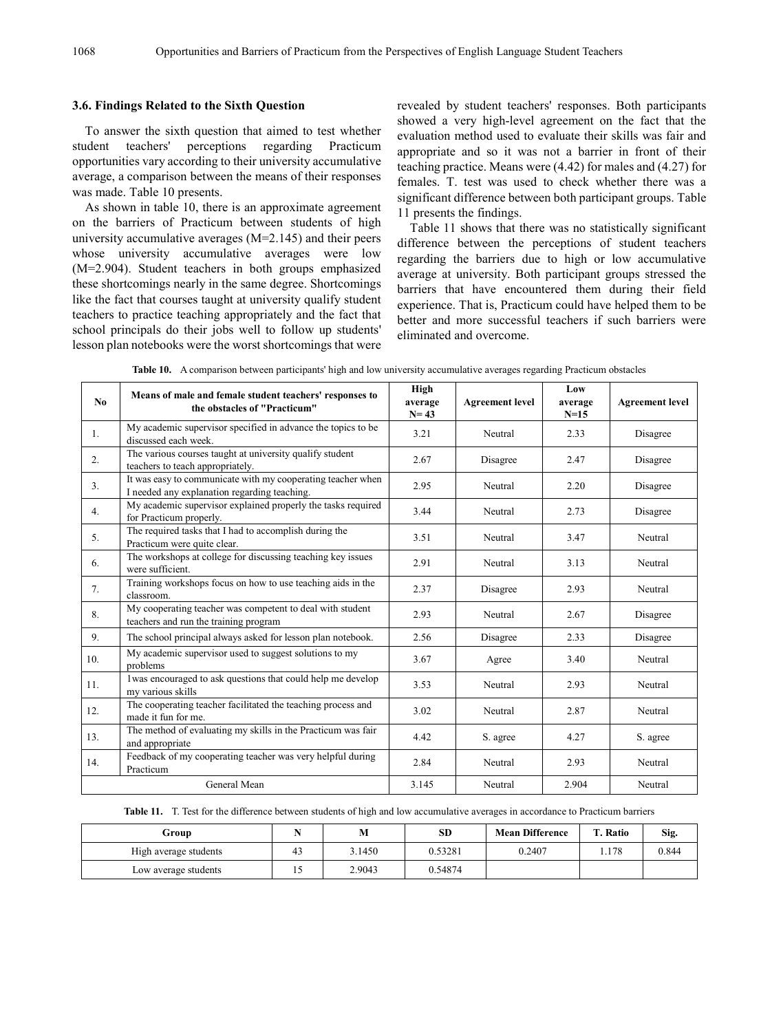#### **3.6. Findings Related to the Sixth Question**

To answer the sixth question that aimed to test whether student teachers' perceptions regarding Practicum opportunities vary according to their university accumulative average, a comparison between the means of their responses was made. Table 10 presents.

As shown in table 10, there is an approximate agreement on the barriers of Practicum between students of high university accumulative averages (M=2.145) and their peers whose university accumulative averages were low (M=2.904). Student teachers in both groups emphasized these shortcomings nearly in the same degree. Shortcomings like the fact that courses taught at university qualify student teachers to practice teaching appropriately and the fact that school principals do their jobs well to follow up students' lesson plan notebooks were the worst shortcomings that were revealed by student teachers' responses. Both participants showed a very high-level agreement on the fact that the evaluation method used to evaluate their skills was fair and appropriate and so it was not a barrier in front of their teaching practice. Means were (4.42) for males and (4.27) for females. T. test was used to check whether there was a significant difference between both participant groups. Table 11 presents the findings.

Table 11 shows that there was no statistically significant difference between the perceptions of student teachers regarding the barriers due to high or low accumulative average at university. Both participant groups stressed the barriers that have encountered them during their field experience. That is, Practicum could have helped them to be better and more successful teachers if such barriers were eliminated and overcome.

| No             | Means of male and female student teachers' responses to<br>the obstacles of "Practicum"                     |       | <b>Agreement level</b> | Low<br>average<br>$N=15$ | <b>Agreement level</b> |
|----------------|-------------------------------------------------------------------------------------------------------------|-------|------------------------|--------------------------|------------------------|
| $\mathbf{1}$ . | My academic supervisor specified in advance the topics to be<br>discussed each week.                        | 3.21  | Neutral                | 2.33                     | Disagree               |
| 2.             | The various courses taught at university qualify student<br>teachers to teach appropriately.                | 2.67  | Disagree               | 2.47                     | Disagree               |
| 3 <sub>1</sub> | It was easy to communicate with my cooperating teacher when<br>I needed any explanation regarding teaching. | 2.95  | Neutral                | 2.20                     | Disagree               |
| 4.             | My academic supervisor explained properly the tasks required<br>for Practicum properly.                     | 3.44  | Neutral                | 2.73                     | Disagree               |
| 5.             | The required tasks that I had to accomplish during the<br>Practicum were quite clear.                       | 3.51  | Neutral                | 3.47                     | Neutral                |
| 6.             | The workshops at college for discussing teaching key issues<br>were sufficient.                             | 2.91  | Neutral                | 3.13                     | Neutral                |
| 7.             | Training workshops focus on how to use teaching aids in the<br>classroom.                                   | 2.37  | Disagree               | 2.93                     | Neutral                |
| 8.             | My cooperating teacher was competent to deal with student<br>teachers and run the training program          | 2.93  | Neutral                | 2.67                     | Disagree               |
| 9.             | The school principal always asked for lesson plan notebook.                                                 | 2.56  | Disagree               | 2.33                     | Disagree               |
| 10.            | My academic supervisor used to suggest solutions to my<br>problems                                          | 3.67  | Agree                  | 3.40                     | Neutral                |
| 11.            | 1was encouraged to ask questions that could help me develop<br>my various skills                            | 3.53  | Neutral                | 2.93                     | Neutral                |
| 12.            | The cooperating teacher facilitated the teaching process and<br>made it fun for me.                         | 3.02  | Neutral                | 2.87                     | Neutral                |
| 13.            | The method of evaluating my skills in the Practicum was fair<br>and appropriate                             | 4.42  | S. agree               | 4.27                     | S. agree               |
| 14.            | Feedback of my cooperating teacher was very helpful during<br>Practicum                                     | 2.84  | Neutral                | 2.93                     | Neutral                |
|                | General Mean                                                                                                | 3.145 | Neutral                | 2.904                    | Neutral                |

**Table 10.** A comparison between participants' high and low university accumulative averages regarding Practicum obstacles

**Table 11.** T. Test for the difference between students of high and low accumulative averages in accordance to Practicum barriers

| Group                 |            | SD      | <b>Mean Difference</b> | <b>T. Ratio</b> | Sig.  |
|-----------------------|------------|---------|------------------------|-----------------|-------|
| High average students | 3.1450     | 0.53281 | 0.2407                 | 1.178           | 0.844 |
| Low average students  | <br>2.9043 | 0.54874 |                        |                 |       |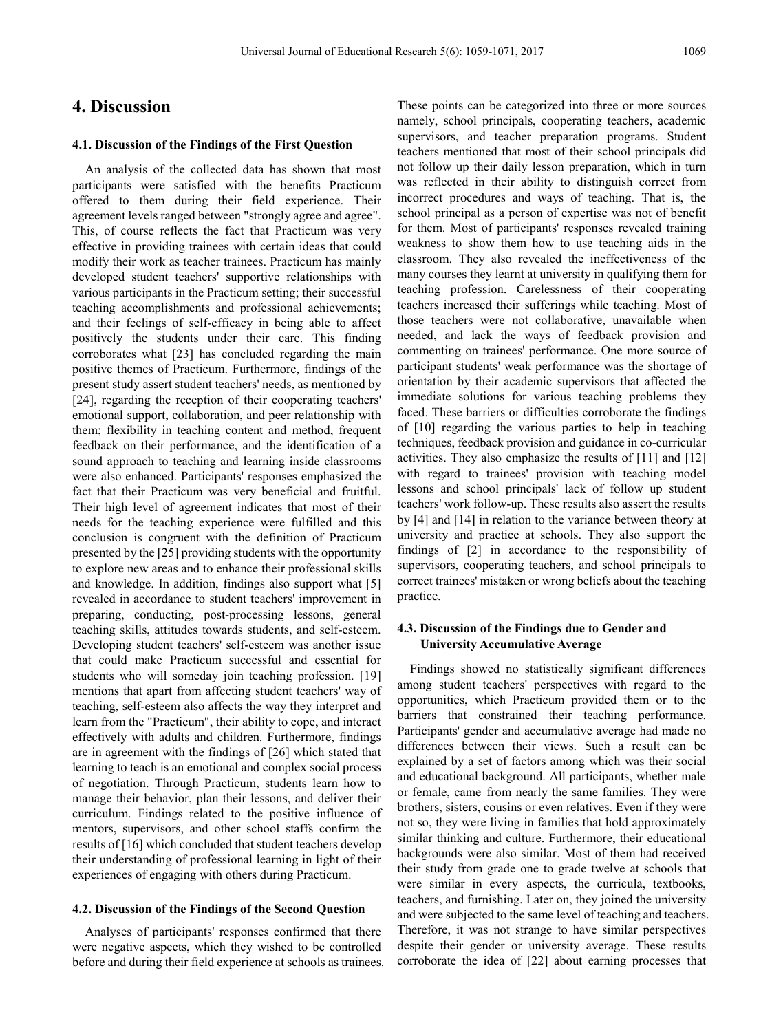### **4. Discussion**

#### **4.1. Discussion of the Findings of the First Question**

An analysis of the collected data has shown that most participants were satisfied with the benefits Practicum offered to them during their field experience. Their agreement levels ranged between "strongly agree and agree". This, of course reflects the fact that Practicum was very effective in providing trainees with certain ideas that could modify their work as teacher trainees. Practicum has mainly developed student teachers' supportive relationships with various participants in the Practicum setting; their successful teaching accomplishments and professional achievements; and their feelings of self-efficacy in being able to affect positively the students under their care. This finding corroborates what [23] has concluded regarding the main positive themes of Practicum. Furthermore, findings of the present study assert student teachers' needs, as mentioned by [24], regarding the reception of their cooperating teachers' emotional support, collaboration, and peer relationship with them; flexibility in teaching content and method, frequent feedback on their performance, and the identification of a sound approach to teaching and learning inside classrooms were also enhanced. Participants' responses emphasized the fact that their Practicum was very beneficial and fruitful. Their high level of agreement indicates that most of their needs for the teaching experience were fulfilled and this conclusion is congruent with the definition of Practicum presented by the [25] providing students with the opportunity to explore new areas and to enhance their professional skills and knowledge. In addition, findings also support what [5] revealed in accordance to student teachers' improvement in preparing, conducting, post-processing lessons, general teaching skills, attitudes towards students, and self-esteem. Developing student teachers' self-esteem was another issue that could make Practicum successful and essential for students who will someday join teaching profession. [19] mentions that apart from affecting student teachers' way of teaching, self-esteem also affects the way they interpret and learn from the "Practicum", their ability to cope, and interact effectively with adults and children. Furthermore, findings are in agreement with the findings of [26] which stated that learning to teach is an emotional and complex social process of negotiation. Through Practicum, students learn how to manage their behavior, plan their lessons, and deliver their curriculum. Findings related to the positive influence of mentors, supervisors, and other school staffs confirm the results of [16] which concluded that student teachers develop their understanding of professional learning in light of their experiences of engaging with others during Practicum.

#### **4.2. Discussion of the Findings of the Second Question**

Analyses of participants' responses confirmed that there were negative aspects, which they wished to be controlled before and during their field experience at schools as trainees. These points can be categorized into three or more sources namely, school principals, cooperating teachers, academic supervisors, and teacher preparation programs. Student teachers mentioned that most of their school principals did not follow up their daily lesson preparation, which in turn was reflected in their ability to distinguish correct from incorrect procedures and ways of teaching. That is, the school principal as a person of expertise was not of benefit for them. Most of participants' responses revealed training weakness to show them how to use teaching aids in the classroom. They also revealed the ineffectiveness of the many courses they learnt at university in qualifying them for teaching profession. Carelessness of their cooperating teachers increased their sufferings while teaching. Most of those teachers were not collaborative, unavailable when needed, and lack the ways of feedback provision and commenting on trainees' performance. One more source of participant students' weak performance was the shortage of orientation by their academic supervisors that affected the immediate solutions for various teaching problems they faced. These barriers or difficulties corroborate the findings of [10] regarding the various parties to help in teaching techniques, feedback provision and guidance in co-curricular activities. They also emphasize the results of [11] and [12] with regard to trainees' provision with teaching model lessons and school principals' lack of follow up student teachers' work follow-up. These results also assert the results by [4] and [14] in relation to the variance between theory at university and practice at schools. They also support the findings of [2] in accordance to the responsibility of supervisors, cooperating teachers, and school principals to correct trainees' mistaken or wrong beliefs about the teaching practice.

#### **4.3. Discussion of the Findings due to Gender and University Accumulative Average**

Findings showed no statistically significant differences among student teachers' perspectives with regard to the opportunities, which Practicum provided them or to the barriers that constrained their teaching performance. Participants' gender and accumulative average had made no differences between their views. Such a result can be explained by a set of factors among which was their social and educational background. All participants, whether male or female, came from nearly the same families. They were brothers, sisters, cousins or even relatives. Even if they were not so, they were living in families that hold approximately similar thinking and culture. Furthermore, their educational backgrounds were also similar. Most of them had received their study from grade one to grade twelve at schools that were similar in every aspects, the curricula, textbooks, teachers, and furnishing. Later on, they joined the university and were subjected to the same level of teaching and teachers. Therefore, it was not strange to have similar perspectives despite their gender or university average. These results corroborate the idea of [22] about earning processes that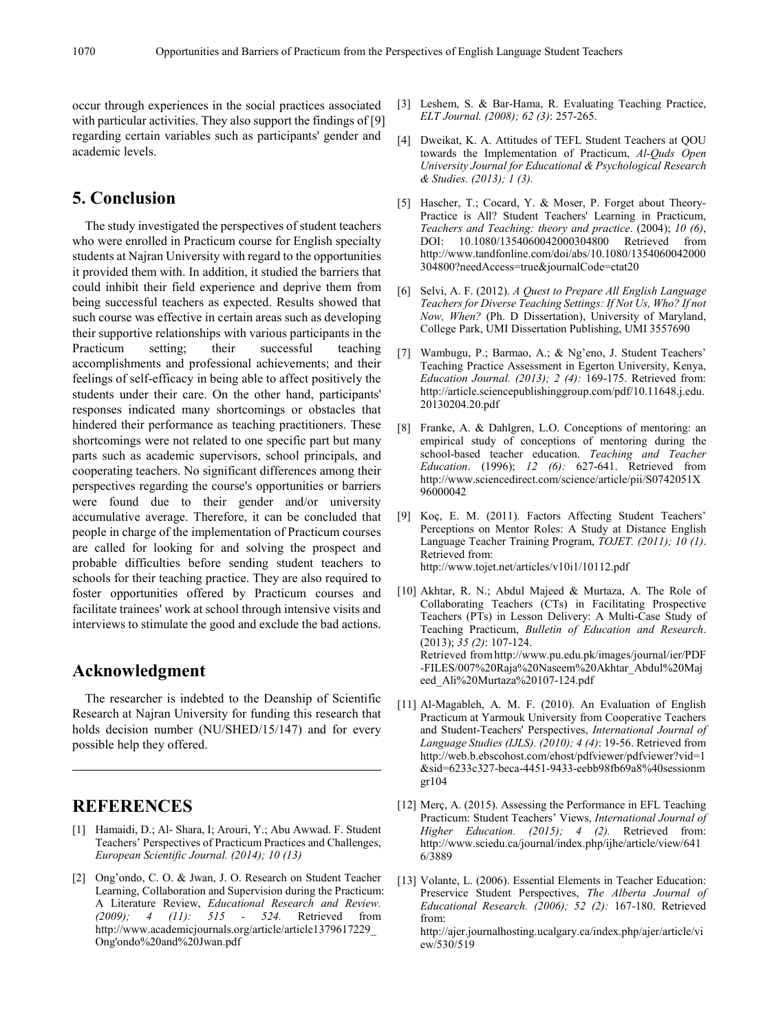occur through experiences in the social practices associated with particular activities. They also support the findings of [9] regarding certain variables such as participants' gender and academic levels.

### **5. Conclusion**

The study investigated the perspectives of student teachers who were enrolled in Practicum course for English specialty students at Najran University with regard to the opportunities it provided them with. In addition, it studied the barriers that could inhibit their field experience and deprive them from being successful teachers as expected. Results showed that such course was effective in certain areas such as developing their supportive relationships with various participants in the Practicum setting; their successful teaching accomplishments and professional achievements; and their feelings of self-efficacy in being able to affect positively the students under their care. On the other hand, participants' responses indicated many shortcomings or obstacles that hindered their performance as teaching practitioners. These shortcomings were not related to one specific part but many parts such as academic supervisors, school principals, and cooperating teachers. No significant differences among their perspectives regarding the course's opportunities or barriers were found due to their gender and/or university accumulative average. Therefore, it can be concluded that people in charge of the implementation of Practicum courses are called for looking for and solving the prospect and probable difficulties before sending student teachers to schools for their teaching practice. They are also required to foster opportunities offered by Practicum courses and facilitate trainees' work at school through intensive visits and interviews to stimulate the good and exclude the bad actions.

### **Acknowledgment**

The researcher is indebted to the Deanship of Scientific Research at Najran University for funding this research that holds decision number (NU/SHED/15/147) and for every possible help they offered.

### **REFERENCES**

- [1] Hamaidi, D.; Al- Shara, I; Arouri, Y.; Abu Awwad. F. Student Teachers' Perspectives of Practicum Practices and Challenges, *European Scientific Journal. (2014); 10 (13)*
- [2] Ong'ondo, C. O. & Jwan, J. O. Research on Student Teacher Learning, Collaboration and Supervision during the Practicum: A Literature Review, *Educational Research and Review. (2009); 4 (11): 515 - 524.* Retrieved from http://www.academicjournals.org/article/article1379617229\_ Ong'ondo%20and%20Jwan.pdf
- [3] Leshem, S. & Bar-Hama, R. Evaluating Teaching Practice, *ELT Journal. (2008); 62 (3)*: 257-265.
- [4] Dweikat, K. A. Attitudes of TEFL Student Teachers at QOU towards the Implementation of Practicum, *Al-Quds Open University Journal for Educational & Psychological Research & Studies. (2013); 1 (3).*
- [5] Hascher, T.; Cocard, Y. & Moser, P. Forget about Theory-Practice is All? Student Teachers' Learning in Practicum, *Teachers and Teaching: theory and practice*. (2004); *10 (6)*, DOI: 10.1080/1354060042000304800 Retrieved from http://www.tandfonline.com/doi/abs/10.1080/1354060042000 304800?needAccess=true&journalCode=ctat20
- [6] Selvi, A. F. (2012). *A Quest to Prepare All English Language Teachers for Diverse Teaching Settings: If Not Us, Who? If not Now, When?* (Ph. D Dissertation), University of Maryland, College Park, UMI Dissertation Publishing, UMI 3557690
- [7] Wambugu, P.; Barmao, A.; & Ng'eno, J. Student Teachers' Teaching Practice Assessment in Egerton University, Kenya, *Education Journal. (2013); 2 (4):* 169-175. Retrieved from: http://article.sciencepublishinggroup.com/pdf/10.11648.j.edu. 20130204.20.pdf
- [8] Franke, A. & Dahlgren, L.O. Conceptions of mentoring: an empirical study of conceptions of mentoring during the school-based teacher education. *Teaching and Teacher Education*. (1996); *12 (6):* 627-641. Retrieved from http://www.sciencedirect.com/science/article/pii/S0742051X 96000042
- [9] Koç, E. M. (2011). Factors Affecting Student Teachers' Perceptions on Mentor Roles: A Study at Distance English Language Teacher Training Program, *TOJET. (2011); 10 (1)*. Retrieved from: http://www.tojet.net/articles/v10i1/10112.pdf
- [10] Akhtar, R. N.; Abdul Majeed & Murtaza, A. The Role of Collaborating Teachers (CTs) in Facilitating Prospective Teachers (PTs) in Lesson Delivery: A Multi-Case Study of Teaching Practicum, *Bulletin of Education and Research*. (2013); *35 (2)*: 107-124. Retrieved fromhttp://www.pu.edu.pk/images/journal/ier/PDF -FILES/007%20Raja%20Naseem%20Akhtar\_Abdul%20Maj eed\_Ali%20Murtaza%20107-124.pdf
- [11] Al-Magableh, A. M. F. (2010). An Evaluation of English Practicum at Yarmouk University from Cooperative Teachers and Student-Teachers' Perspectives, *International Journal of Language Studies (IJLS). (2010); 4 (4)*: 19-56. Retrieved from http://web.b.ebscohost.com/ehost/pdfviewer/pdfviewer?vid=1 &sid=6233c327-beca-4451-9433-eebb98fb69a8%40sessionm gr104
- [12] Merç, A. (2015). Assessing the Performance in EFL Teaching Practicum: Student Teachers' Views, *International Journal of Higher Education. (2015); 4 (2).* Retrieved from: http://www.sciedu.ca/journal/index.php/ijhe/article/view/641 6/3889
- [13] Volante, L. (2006). Essential Elements in Teacher Education: Preservice Student Perspectives, *The Alberta Journal of Educational Research. (2006); 52 (2):* 167-180. Retrieved from:

http://ajer.journalhosting.ucalgary.ca/index.php/ajer/article/vi ew/530/519